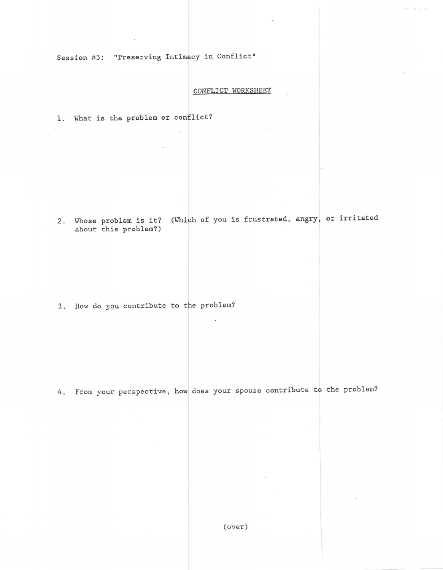Session #3: "Preserving Intimacy in Conflict"

## CONFLICT WORKSHEET

1. What is the problem or conflict?

2. Whose problem is it? (Which of you is frustrated, angry, or irritated about this problem?)

3. How do you contribute to the problem?

4. From your perspective, how does your spouse contribute to the problem?